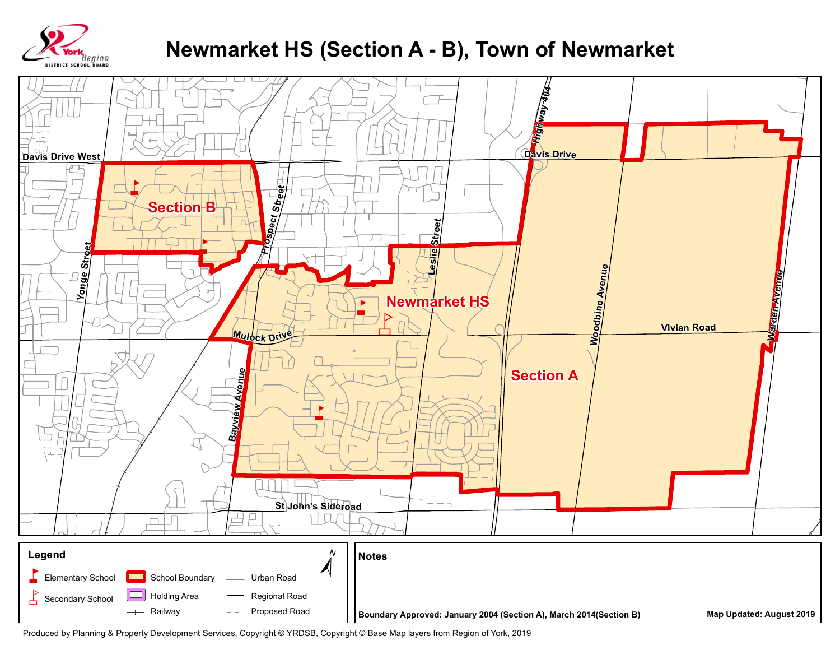

## **Newmarket HS (Section A - B), Town of Newmarket**



Produced by Planning & Property Development Services, Copyright © YRDSB, Copyright © Base Map layers from Region of York, 2019